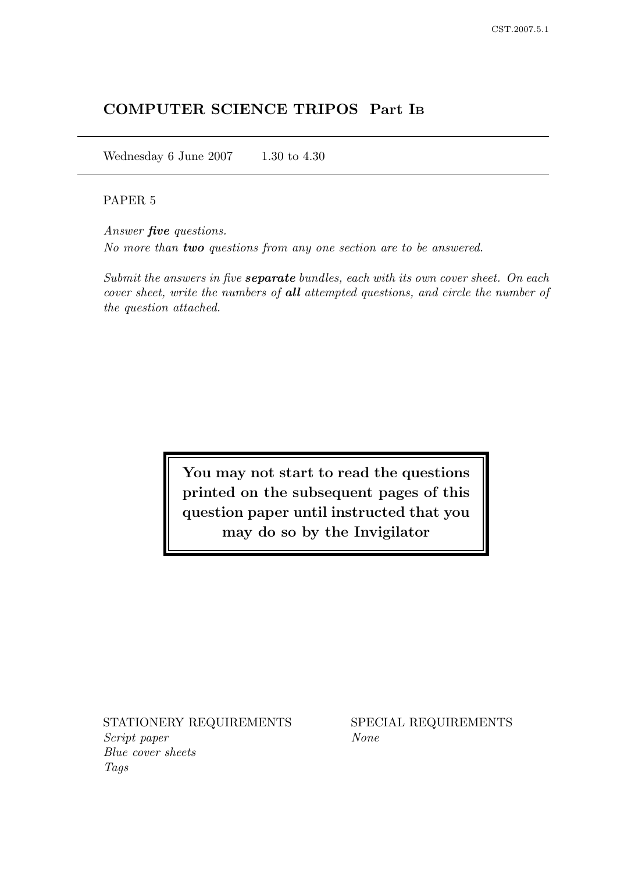# COMPUTER SCIENCE TRIPOS Part I<sup>B</sup>

Wednesday 6 June 2007 1.30 to 4.30

### PAPER 5

Answer five questions. No more than two questions from any one section are to be answered.

Submit the answers in five **separate** bundles, each with its own cover sheet. On each cover sheet, write the numbers of all attempted questions, and circle the number of the question attached.

> You may not start to read the questions printed on the subsequent pages of this question paper until instructed that you may do so by the Invigilator

STATIONERY REQUIREMENTS SPECIAL REQUIREMENTS Script paper None Blue cover sheets Tags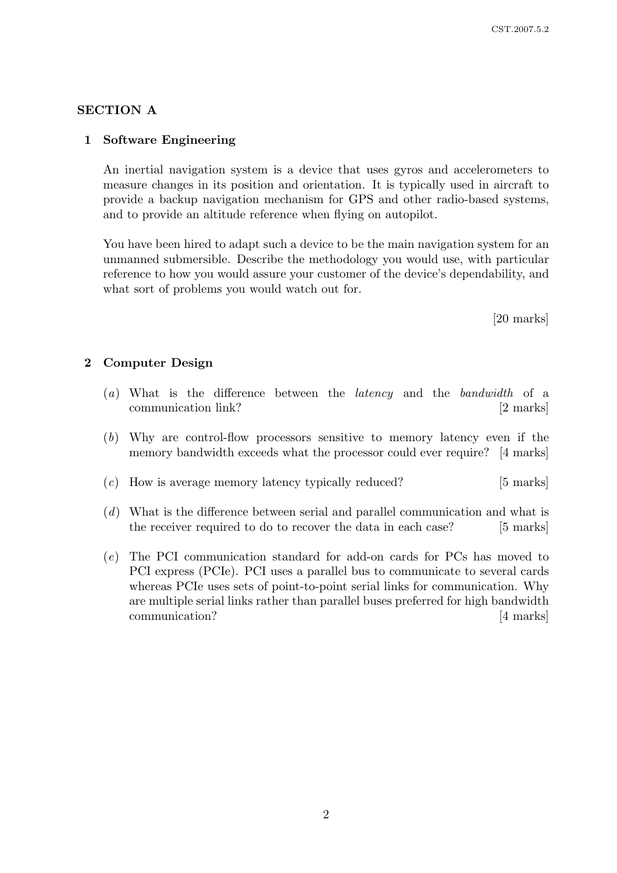### SECTION A

### 1 Software Engineering

An inertial navigation system is a device that uses gyros and accelerometers to measure changes in its position and orientation. It is typically used in aircraft to provide a backup navigation mechanism for GPS and other radio-based systems, and to provide an altitude reference when flying on autopilot.

You have been hired to adapt such a device to be the main navigation system for an unmanned submersible. Describe the methodology you would use, with particular reference to how you would assure your customer of the device's dependability, and what sort of problems you would watch out for.

[20 marks]

#### 2 Computer Design

- (a) What is the difference between the latency and the bandwidth of a communication link? [2 marks]
- (b) Why are control-flow processors sensitive to memory latency even if the memory bandwidth exceeds what the processor could ever require? [4 marks]
- (c) How is average memory latency typically reduced? [5 marks]
- (d) What is the difference between serial and parallel communication and what is the receiver required to do to recover the data in each case? [5 marks]
- (e) The PCI communication standard for add-on cards for PCs has moved to PCI express (PCIe). PCI uses a parallel bus to communicate to several cards whereas PCIe uses sets of point-to-point serial links for communication. Why are multiple serial links rather than parallel buses preferred for high bandwidth communication? [4 marks]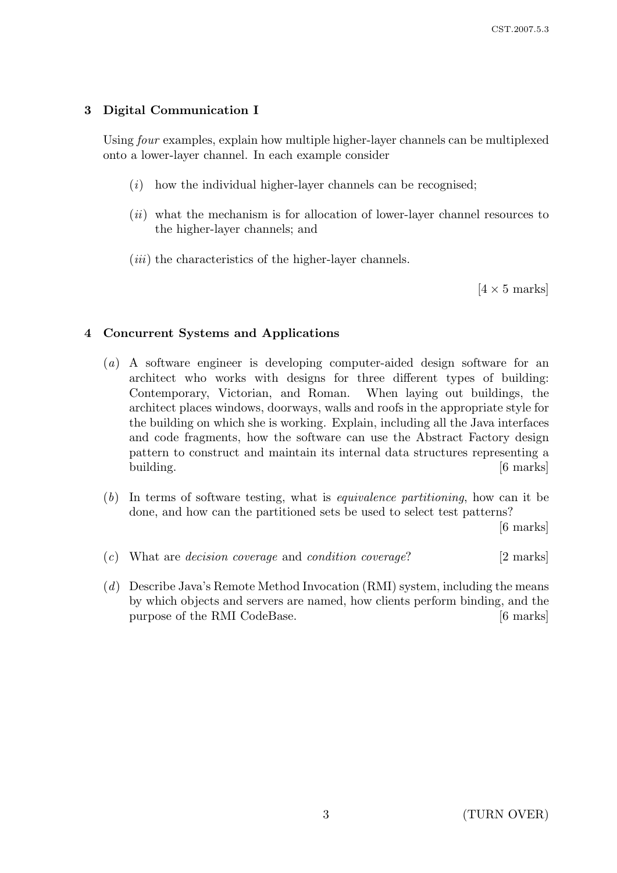# 3 Digital Communication I

Using four examples, explain how multiple higher-layer channels can be multiplexed onto a lower-layer channel. In each example consider

- $(i)$  how the individual higher-layer channels can be recognised;
- $(ii)$  what the mechanism is for allocation of lower-layer channel resources to the higher-layer channels; and
- $(iii)$  the characteristics of the higher-layer channels.

 $[4 \times 5 \text{ marks}]$ 

## 4 Concurrent Systems and Applications

- (a) A software engineer is developing computer-aided design software for an architect who works with designs for three different types of building: Contemporary, Victorian, and Roman. When laying out buildings, the architect places windows, doorways, walls and roofs in the appropriate style for the building on which she is working. Explain, including all the Java interfaces and code fragments, how the software can use the Abstract Factory design pattern to construct and maintain its internal data structures representing a building. [6 marks]
- (b) In terms of software testing, what is equivalence partitioning, how can it be done, and how can the partitioned sets be used to select test patterns?

[6 marks]

- $(c)$  What are *decision coverage* and *condition coverage*? [2 marks]
- (d) Describe Java's Remote Method Invocation (RMI) system, including the means by which objects and servers are named, how clients perform binding, and the purpose of the RMI CodeBase. [6 marks]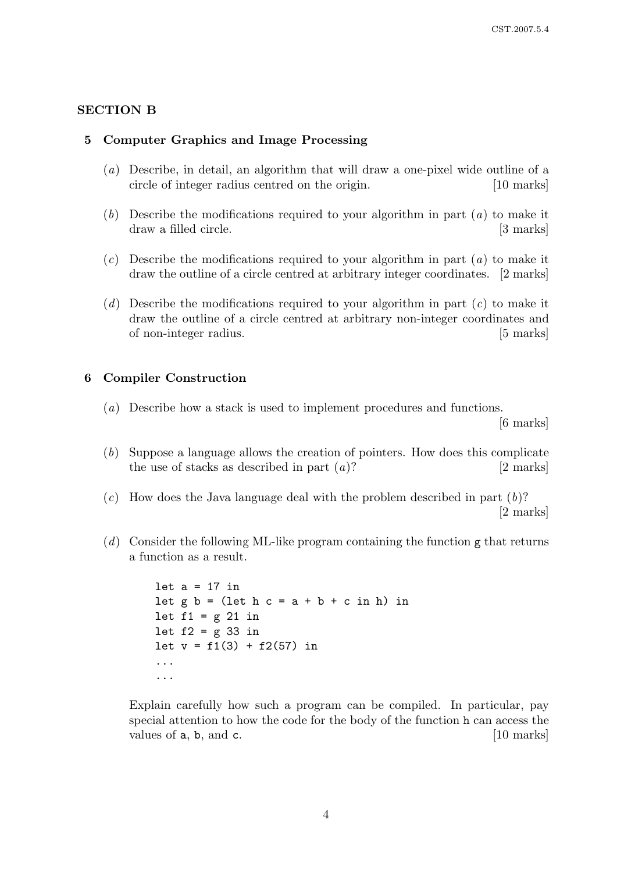### SECTION B

### 5 Computer Graphics and Image Processing

- (a) Describe, in detail, an algorithm that will draw a one-pixel wide outline of a circle of integer radius centred on the origin. [10 marks]
- (b) Describe the modifications required to your algorithm in part  $(a)$  to make it draw a filled circle.  $\left[3 \text{ marks}\right]$
- $(c)$  Describe the modifications required to your algorithm in part  $(a)$  to make it draw the outline of a circle centred at arbitrary integer coordinates. [2 marks]
- (d) Describe the modifications required to your algorithm in part  $(c)$  to make it draw the outline of a circle centred at arbitrary non-integer coordinates and of non-integer radius. [5 marks]

#### 6 Compiler Construction

(a) Describe how a stack is used to implement procedures and functions.

[6 marks]

- (b) Suppose a language allows the creation of pointers. How does this complicate the use of stacks as described in part  $(a)$ ? [2 marks]
- $(c)$  How does the Java language deal with the problem described in part  $(b)$ ? [2 marks]
- (d) Consider the following ML-like program containing the function  $g$  that returns a function as a result.

let  $a = 17$  in let  $g b = (let h c = a + b + c in h) in$ let  $f1 = g 21$  in let  $f2 = g$  33 in let  $v = f1(3) + f2(57)$  in ... ...

Explain carefully how such a program can be compiled. In particular, pay special attention to how the code for the body of the function h can access the values of  $a, b, and c.$  [10 marks]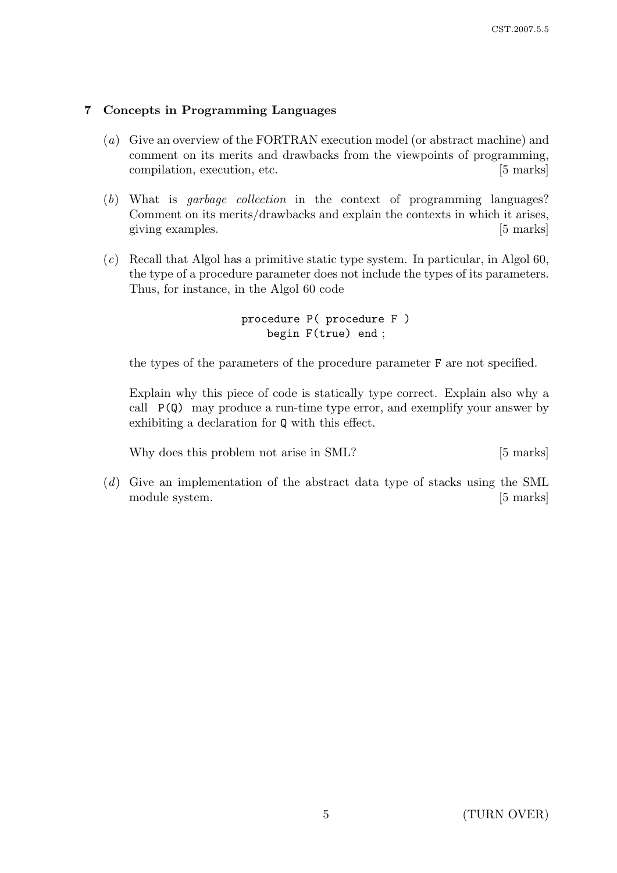# 7 Concepts in Programming Languages

- (a) Give an overview of the FORTRAN execution model (or abstract machine) and comment on its merits and drawbacks from the viewpoints of programming, compilation, execution, etc. [5 marks]
- (b) What is garbage collection in the context of programming languages? Comment on its merits/drawbacks and explain the contexts in which it arises, giving examples. [5] marks]
- (c) Recall that Algol has a primitive static type system. In particular, in Algol 60, the type of a procedure parameter does not include the types of its parameters. Thus, for instance, in the Algol 60 code

## procedure P( procedure F ) begin F(true) end ;

the types of the parameters of the procedure parameter F are not specified.

Explain why this piece of code is statically type correct. Explain also why a call  $P(Q)$  may produce a run-time type error, and exemplify your answer by exhibiting a declaration for Q with this effect.

Why does this problem not arise in SML? [5 marks]

(d) Give an implementation of the abstract data type of stacks using the SML module system. [5 marks]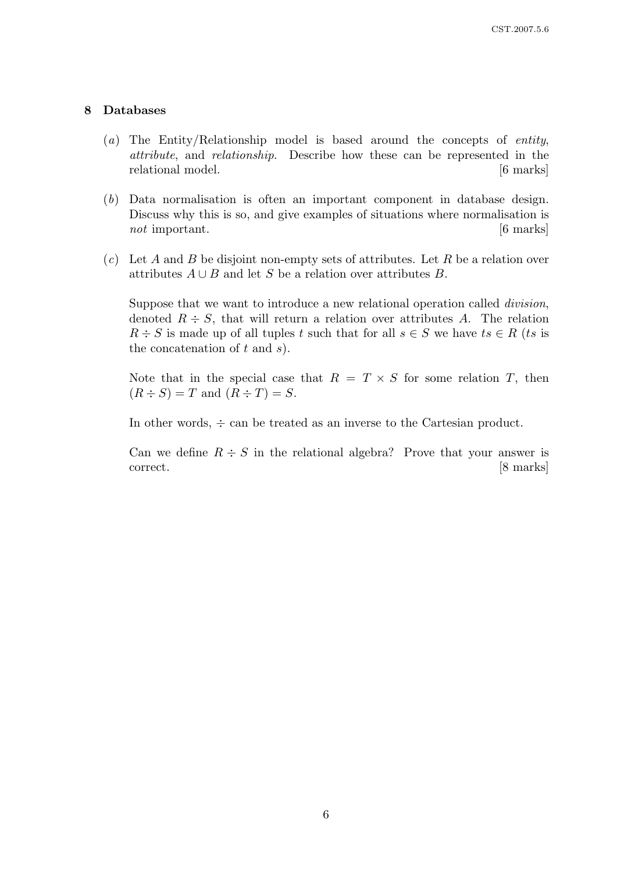#### 8 Databases

- (a) The Entity/Relationship model is based around the concepts of *entity*, attribute, and relationship. Describe how these can be represented in the relational model. [6 marks]
- (b) Data normalisation is often an important component in database design. Discuss why this is so, and give examples of situations where normalisation is not important.  $\begin{bmatrix} 6 \text{ marks} \end{bmatrix}$
- $(c)$  Let A and B be disjoint non-empty sets of attributes. Let R be a relation over attributes  $A \cup B$  and let S be a relation over attributes B.

Suppose that we want to introduce a new relational operation called *division*, denoted  $R \div S$ , that will return a relation over attributes A. The relation  $R \div S$  is made up of all tuples t such that for all  $s \in S$  we have  $ts \in R$  (ts is the concatenation of  $t$  and  $s$ ).

Note that in the special case that  $R = T \times S$  for some relation T, then  $(R \div S) = T$  and  $(R \div T) = S$ .

In other words,  $\div$  can be treated as an inverse to the Cartesian product.

Can we define  $R \div S$  in the relational algebra? Prove that your answer is correct. [8 marks]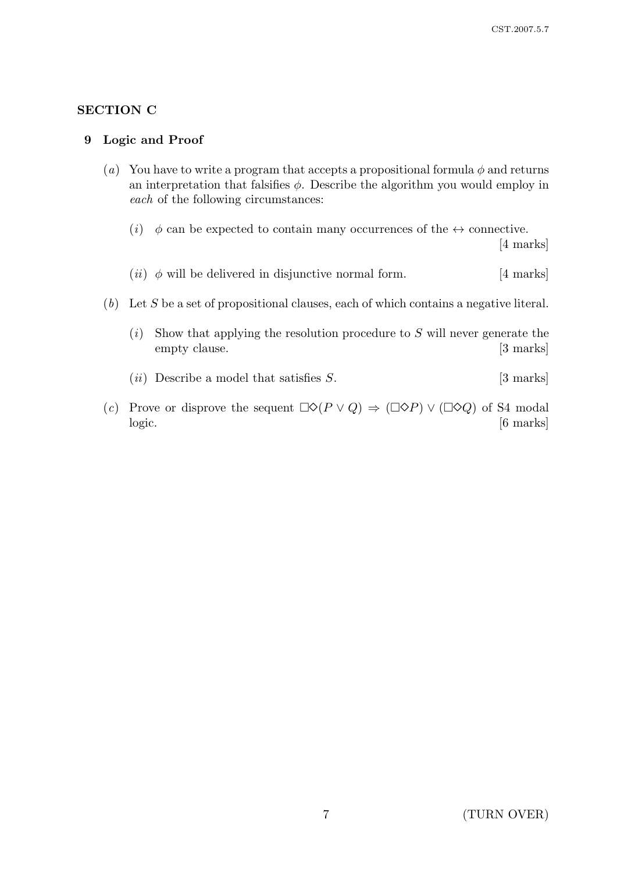# SECTION C

### 9 Logic and Proof

- (a) You have to write a program that accepts a propositional formula  $\phi$  and returns an interpretation that falsifies  $\phi$ . Describe the algorithm you would employ in each of the following circumstances:
	- (i)  $\phi$  can be expected to contain many occurrences of the  $\leftrightarrow$  connective.

[4 marks]

- (*ii*)  $\phi$  will be delivered in disjunctive normal form. [4 marks]
- $(b)$  Let S be a set of propositional clauses, each of which contains a negative literal.
	- $(i)$  Show that applying the resolution procedure to S will never generate the empty clause. [3 marks]
	- (*ii*) Describe a model that satisfies  $S$ . [3 marks]
- (c) Prove or disprove the sequent  $\Box \Diamond (P \lor Q) \Rightarrow (\Box \Diamond P) \lor (\Box \Diamond Q)$  of S4 modal logic. [6 marks]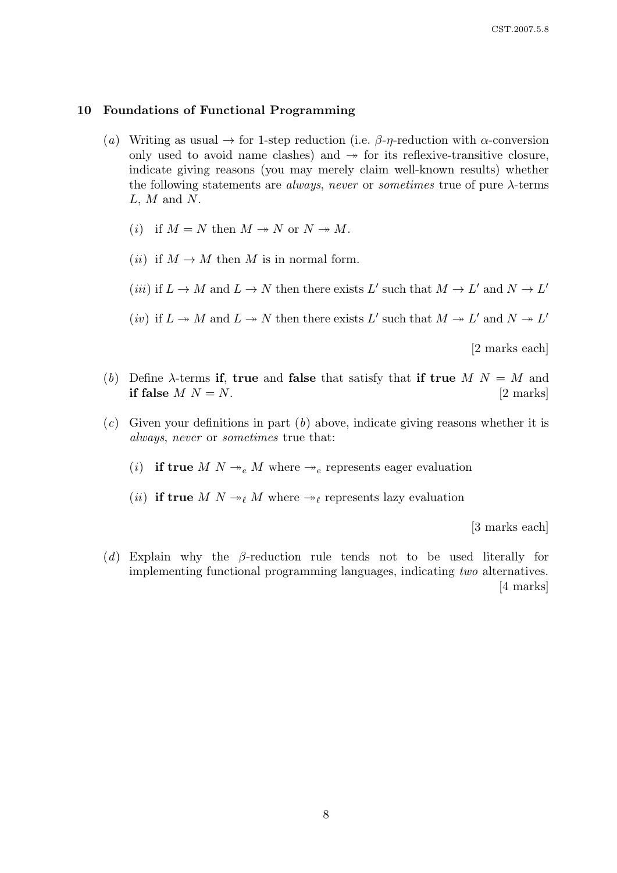#### 10 Foundations of Functional Programming

- (a) Writing as usual  $\rightarrow$  for 1-step reduction (i.e.  $\beta$ -η-reduction with  $\alpha$ -conversion only used to avoid name clashes) and  $\rightarrow$  for its reflexive-transitive closure, indicate giving reasons (you may merely claim well-known results) whether the following statements are *always, never* or *sometimes* true of pure  $\lambda$ -terms  $L, M$  and  $N$ .
	- (*i*) if  $M = N$  then  $M \rightarrow N$  or  $N \rightarrow M$ .
	- (*ii*) if  $M \to M$  then M is in normal form.
	- (*iii*) if  $L \to M$  and  $L \to N$  then there exists L' such that  $M \to L'$  and  $N \to L'$
	- (*iv*) if  $L \to M$  and  $L \to N$  then there exists L' such that  $M \to L'$  and  $N \to L'$

[2 marks each]

- (b) Define  $\lambda$ -terms if, true and false that satisfy that if true  $M N = M$  and if false  $M N = N$ . [2 marks]
- $(c)$  Given your definitions in part  $(b)$  above, indicate giving reasons whether it is always, never or sometimes true that:
	- (i) if true M  $N \rightarrow_e M$  where  $\rightarrow_e$  represents eager evaluation
	- (*ii*) if true M  $N \rightarrow_{\ell} M$  where  $\rightarrow_{\ell}$  represents lazy evaluation

[3 marks each]

(d) Explain why the β-reduction rule tends not to be used literally for implementing functional programming languages, indicating two alternatives. [4 marks]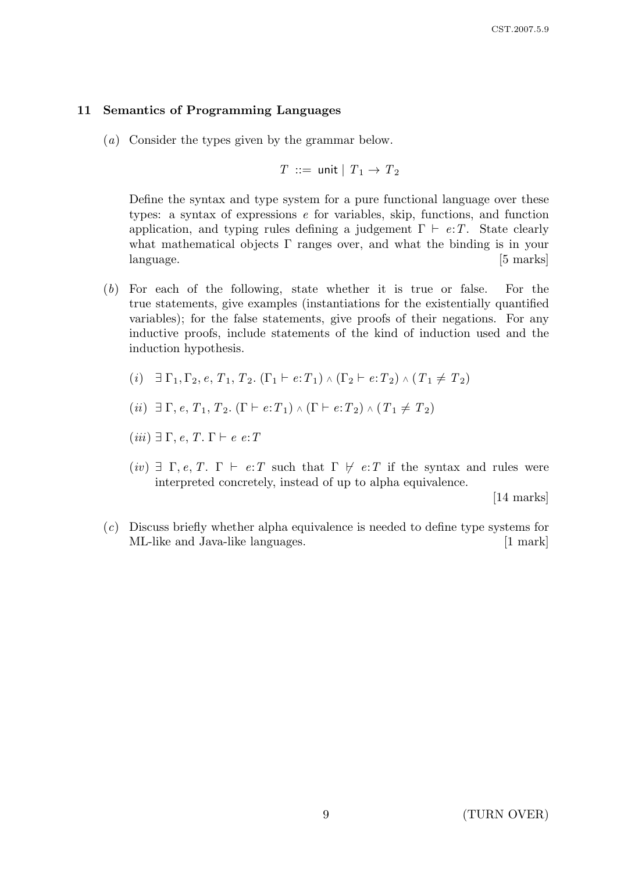#### 11 Semantics of Programming Languages

(a) Consider the types given by the grammar below.

$$
T \ ::= \ \mathsf{unit} \mid T_1 \to T_2
$$

Define the syntax and type system for a pure functional language over these types: a syntax of expressions e for variables, skip, functions, and function application, and typing rules defining a judgement  $\Gamma \vdash e:T$ . State clearly what mathematical objects  $\Gamma$  ranges over, and what the binding is in your language. [5 marks]

- (b) For each of the following, state whether it is true or false. For the true statements, give examples (instantiations for the existentially quantified variables); for the false statements, give proofs of their negations. For any inductive proofs, include statements of the kind of induction used and the induction hypothesis.
	- (i)  $\exists \Gamma_1, \Gamma_2, e, T_1, T_2, (\Gamma_1 \vdash e:T_1) \wedge (\Gamma_2 \vdash e:T_2) \wedge (T_1 \neq T_2)$

(*ii*) 
$$
\exists \Gamma, e, T_1, T_2
$$
. ( $\Gamma \vdash e: T_1$ )  $\land$  ( $\Gamma \vdash e: T_2$ )  $\land$  ( $T_1 \neq T_2$ )

$$
(iii) \exists \Gamma, e, T. \Gamma \vdash e \ e \colon T
$$

(iv)  $\exists \Gamma, e, T$ .  $\Gamma \vdash e : T$  such that  $\Gamma \not\vdash e : T$  if the syntax and rules were interpreted concretely, instead of up to alpha equivalence.

[14 marks]

(c) Discuss briefly whether alpha equivalence is needed to define type systems for ML-like and Java-like languages. [1 mark]